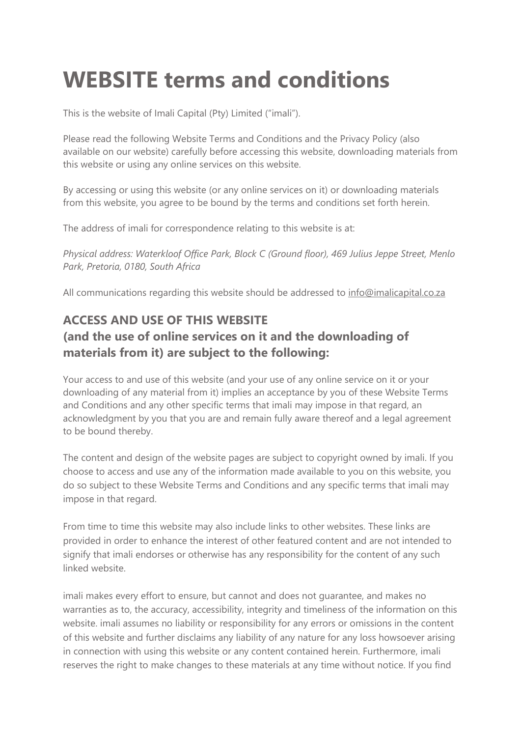## **WEBSITE terms and conditions**

This is the website of Imali Capital (Pty) Limited ("imali").

Please read the following Website Terms and Conditions and the Privacy Policy (also available on our website) carefully before accessing this website, downloading materials from this website or using any online services on this website.

By accessing or using this website (or any online services on it) or downloading materials from this website, you agree to be bound by the terms and conditions set forth herein.

The address of imali for correspondence relating to this website is at:

*Physical address: Waterkloof Office Park, Block C (Ground floor), 469 Julius Jeppe Street, Menlo Park, Pretoria, 0180, South Africa*

All communications regarding this website should be addressed to info@imalicapital.co.za

## **ACCESS AND USE OF THIS WEBSITE (and the use of online services on it and the downloading of materials from it) are subject to the following:**

Your access to and use of this website (and your use of any online service on it or your downloading of any material from it) implies an acceptance by you of these Website Terms and Conditions and any other specific terms that imali may impose in that regard, an acknowledgment by you that you are and remain fully aware thereof and a legal agreement to be bound thereby.

The content and design of the website pages are subject to copyright owned by imali. If you choose to access and use any of the information made available to you on this website, you do so subject to these Website Terms and Conditions and any specific terms that imali may impose in that regard.

From time to time this website may also include links to other websites. These links are provided in order to enhance the interest of other featured content and are not intended to signify that imali endorses or otherwise has any responsibility for the content of any such linked website.

imali makes every effort to ensure, but cannot and does not guarantee, and makes no warranties as to, the accuracy, accessibility, integrity and timeliness of the information on this website. imali assumes no liability or responsibility for any errors or omissions in the content of this website and further disclaims any liability of any nature for any loss howsoever arising in connection with using this website or any content contained herein. Furthermore, imali reserves the right to make changes to these materials at any time without notice. If you find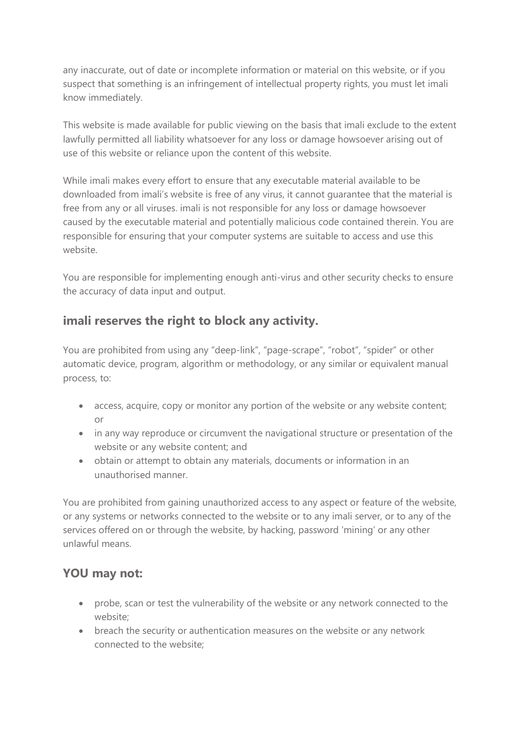any inaccurate, out of date or incomplete information or material on this website, or if you suspect that something is an infringement of intellectual property rights, you must let imali know immediately.

This website is made available for public viewing on the basis that imali exclude to the extent lawfully permitted all liability whatsoever for any loss or damage howsoever arising out of use of this website or reliance upon the content of this website.

While imali makes every effort to ensure that any executable material available to be downloaded from imali's website is free of any virus, it cannot guarantee that the material is free from any or all viruses. imali is not responsible for any loss or damage howsoever caused by the executable material and potentially malicious code contained therein. You are responsible for ensuring that your computer systems are suitable to access and use this website.

You are responsible for implementing enough anti-virus and other security checks to ensure the accuracy of data input and output.

## **imali reserves the right to block any activity.**

You are prohibited from using any "deep-link", "page-scrape", "robot", "spider" or other automatic device, program, algorithm or methodology, or any similar or equivalent manual process, to:

- access, acquire, copy or monitor any portion of the website or any website content; or
- in any way reproduce or circumvent the navigational structure or presentation of the website or any website content; and
- obtain or attempt to obtain any materials, documents or information in an unauthorised manner.

You are prohibited from gaining unauthorized access to any aspect or feature of the website, or any systems or networks connected to the website or to any imali server, or to any of the services offered on or through the website, by hacking, password 'mining' or any other unlawful means.

## **YOU may not:**

- probe, scan or test the vulnerability of the website or any network connected to the website;
- breach the security or authentication measures on the website or any network connected to the website;